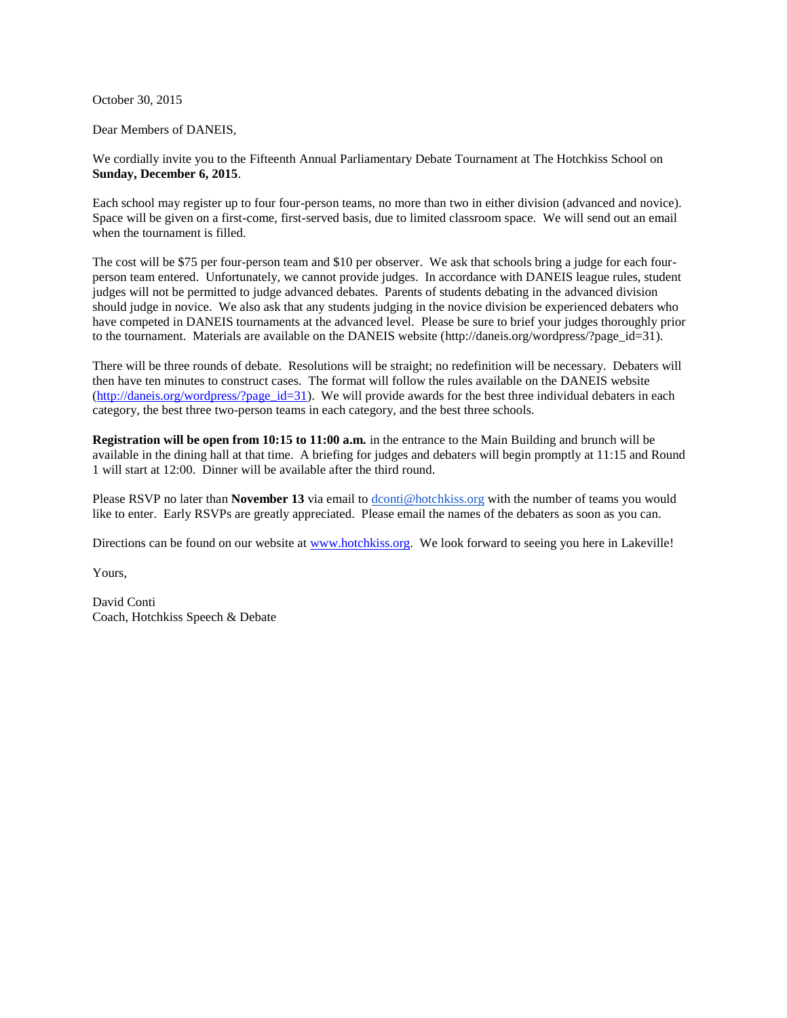October 30, 2015

Dear Members of DANEIS,

We cordially invite you to the Fifteenth Annual Parliamentary Debate Tournament at The Hotchkiss School on **Sunday, December 6, 2015**.

Each school may register up to four four-person teams, no more than two in either division (advanced and novice). Space will be given on a first-come, first-served basis, due to limited classroom space. We will send out an email when the tournament is filled.

The cost will be \$75 per four-person team and \$10 per observer. We ask that schools bring a judge for each fourperson team entered. Unfortunately, we cannot provide judges. In accordance with DANEIS league rules, student judges will not be permitted to judge advanced debates. Parents of students debating in the advanced division should judge in novice. We also ask that any students judging in the novice division be experienced debaters who have competed in DANEIS tournaments at the advanced level. Please be sure to brief your judges thoroughly prior to the tournament. Materials are available on the DANEIS website (http://daneis.org/wordpress/?page\_id=31).

There will be three rounds of debate. Resolutions will be straight; no redefinition will be necessary. Debaters will then have ten minutes to construct cases. The format will follow the rules available on the DANEIS website  $(\frac{http://daneis.org/wordpress/?page_id=31})$ . We will provide awards for the best three individual debaters in each category, the best three two-person teams in each category, and the best three schools.

**Registration will be open from 10:15 to 11:00 a.m.** in the entrance to the Main Building and brunch will be available in the dining hall at that time. A briefing for judges and debaters will begin promptly at 11:15 and Round 1 will start at 12:00. Dinner will be available after the third round.

Please RSVP no later than **November 13** via email to [dconti@hotchkiss.org](mailto:dconti@hotchkiss.org) with the number of teams you would like to enter. Early RSVPs are greatly appreciated. Please email the names of the debaters as soon as you can.

Directions can be found on our website at [www.hotchkiss.org.](http://www.hotchkiss.org/) We look forward to seeing you here in Lakeville!

Yours,

David Conti Coach, Hotchkiss Speech & Debate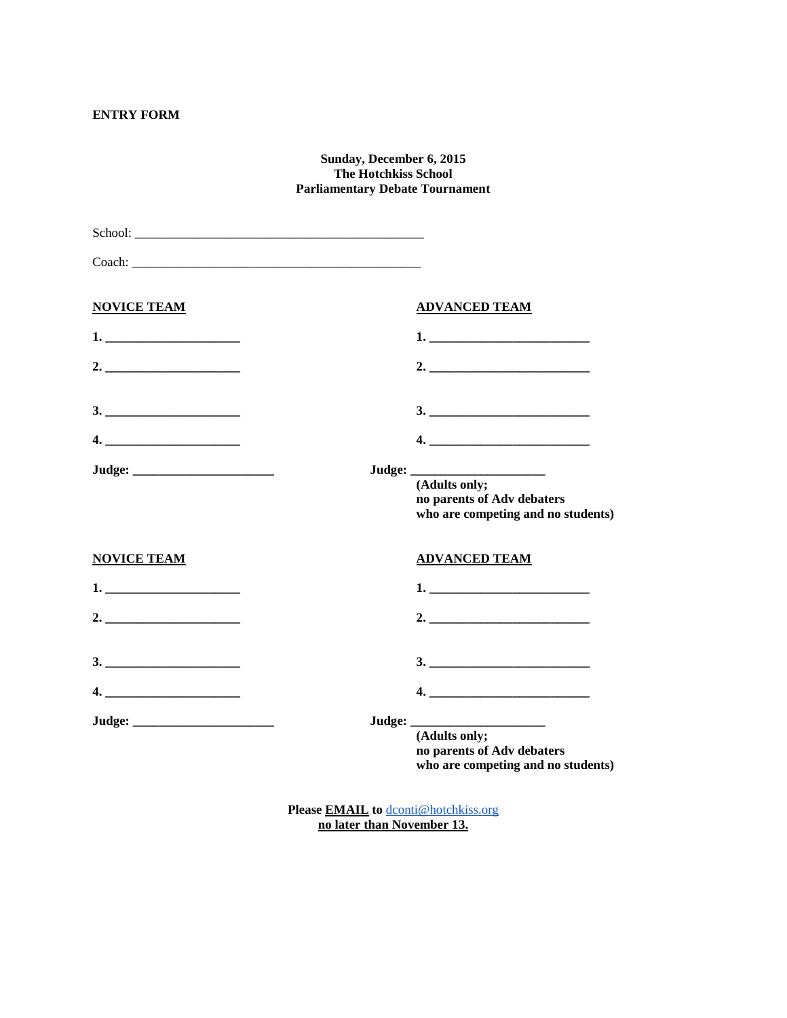# **ENTRY FORM**

#### **Sunday, December 6, 2015 The Hotchkiss School Parliamentary Debate Tournament**

| School: The contract of the contract of the contract of the contract of the contract of the contract of the contract of the contract of the contract of the contract of the contract of the contract of the contract of the co |                                                                                   |  |
|--------------------------------------------------------------------------------------------------------------------------------------------------------------------------------------------------------------------------------|-----------------------------------------------------------------------------------|--|
| Coach: The Coach Coach Coach Coach Coach Coach Coach Coach Coach Coach Coach Coach Coach Coach Coach Coach Coach Coach Coach Coach Coach Coach Coach Coach Coach Coach Coach Coach Coach Coach Coach Coach Coach Coach Coach C |                                                                                   |  |
| <b>NOVICE TEAM</b>                                                                                                                                                                                                             | <b>ADVANCED TEAM</b>                                                              |  |
|                                                                                                                                                                                                                                | 1.                                                                                |  |
|                                                                                                                                                                                                                                |                                                                                   |  |
|                                                                                                                                                                                                                                |                                                                                   |  |
|                                                                                                                                                                                                                                |                                                                                   |  |
|                                                                                                                                                                                                                                | (Adults only;<br>no parents of Adv debaters<br>who are competing and no students) |  |
| <b>NOVICE TEAM</b>                                                                                                                                                                                                             | <b>ADVANCED TEAM</b>                                                              |  |
|                                                                                                                                                                                                                                |                                                                                   |  |
|                                                                                                                                                                                                                                |                                                                                   |  |
|                                                                                                                                                                                                                                | 3.                                                                                |  |
|                                                                                                                                                                                                                                |                                                                                   |  |
|                                                                                                                                                                                                                                | (Adults only;<br>no parents of Adv debaters<br>who are competing and no students) |  |

**Please EMAIL to** [dconti@hotchkiss.org](mailto:dconti@hotchkiss.org) **no later than November 13.**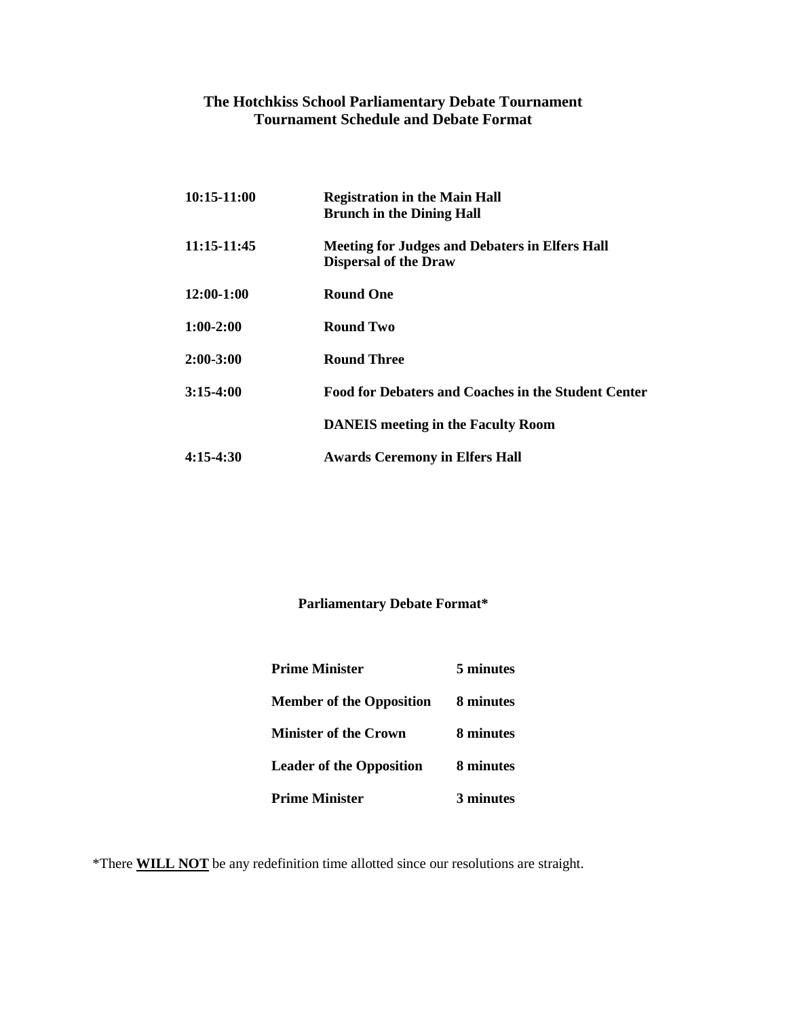# **The Hotchkiss School Parliamentary Debate Tournament Tournament Schedule and Debate Format**

| 10:15-11:00 | <b>Registration in the Main Hall</b><br><b>Brunch in the Dining Hall</b>              |
|-------------|---------------------------------------------------------------------------------------|
| 11:15-11:45 | <b>Meeting for Judges and Debaters in Elfers Hall</b><br><b>Dispersal of the Draw</b> |
| 12:00-1:00  | <b>Round One</b>                                                                      |
| $1:00-2:00$ | Round Two                                                                             |
| 2:00-3:00   | <b>Round Three</b>                                                                    |
| 3:15-4:00   | <b>Food for Debaters and Coaches in the Student Center</b>                            |
|             | <b>DANEIS</b> meeting in the Faculty Room                                             |
| 4:15-4:30   | <b>Awards Ceremony in Elfers Hall</b>                                                 |

# **Parliamentary Debate Format\***

| <b>Prime Minister</b>           | 5 minutes |  |
|---------------------------------|-----------|--|
| <b>Member of the Opposition</b> | 8 minutes |  |
| <b>Minister of the Crown</b>    | 8 minutes |  |
| <b>Leader of the Opposition</b> | 8 minutes |  |
| <b>Prime Minister</b>           | 3 minutes |  |

\*There **WILL NOT** be any redefinition time allotted since our resolutions are straight.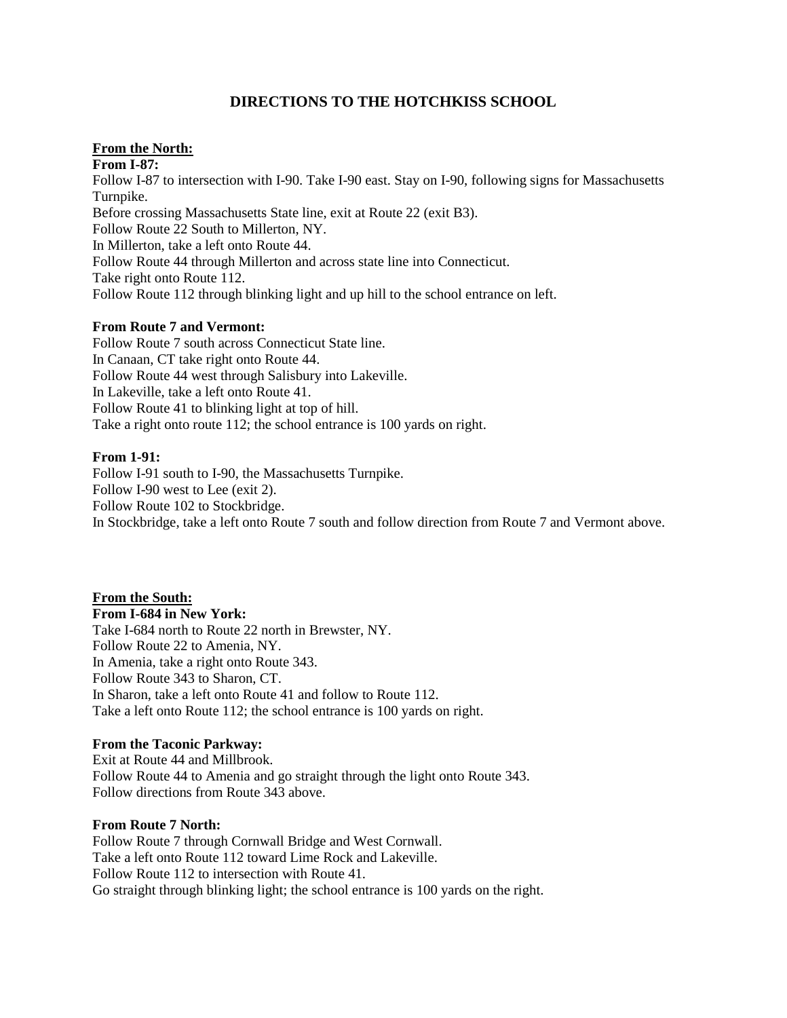# **DIRECTIONS TO THE HOTCHKISS SCHOOL**

# **From the North:**

**From I-87:** Follow I-87 to intersection with I-90. Take I-90 east. Stay on I-90, following signs for Massachusetts Turnpike. Before crossing Massachusetts State line, exit at Route 22 (exit B3). Follow Route 22 South to Millerton, NY. In Millerton, take a left onto Route 44. Follow Route 44 through Millerton and across state line into Connecticut. Take right onto Route 112. Follow Route 112 through blinking light and up hill to the school entrance on left.

#### **From Route 7 and Vermont:**

Follow Route 7 south across Connecticut State line. In Canaan, CT take right onto Route 44. Follow Route 44 west through Salisbury into Lakeville. In Lakeville, take a left onto Route 41. Follow Route 41 to blinking light at top of hill. Take a right onto route 112; the school entrance is 100 yards on right.

#### **From 1-91:**

Follow I-91 south to I-90, the Massachusetts Turnpike. Follow I-90 west to Lee (exit 2). Follow Route 102 to Stockbridge. In Stockbridge, take a left onto Route 7 south and follow direction from Route 7 and Vermont above.

**From the South: From I-684 in New York:** Take I-684 north to Route 22 north in Brewster, NY. Follow Route 22 to Amenia, NY. In Amenia, take a right onto Route 343. Follow Route 343 to Sharon, CT. In Sharon, take a left onto Route 41 and follow to Route 112. Take a left onto Route 112; the school entrance is 100 yards on right.

#### **From the Taconic Parkway:**

Exit at Route 44 and Millbrook. Follow Route 44 to Amenia and go straight through the light onto Route 343. Follow directions from Route 343 above.

#### **From Route 7 North:**

Follow Route 7 through Cornwall Bridge and West Cornwall. Take a left onto Route 112 toward Lime Rock and Lakeville. Follow Route 112 to intersection with Route 41. Go straight through blinking light; the school entrance is 100 yards on the right.